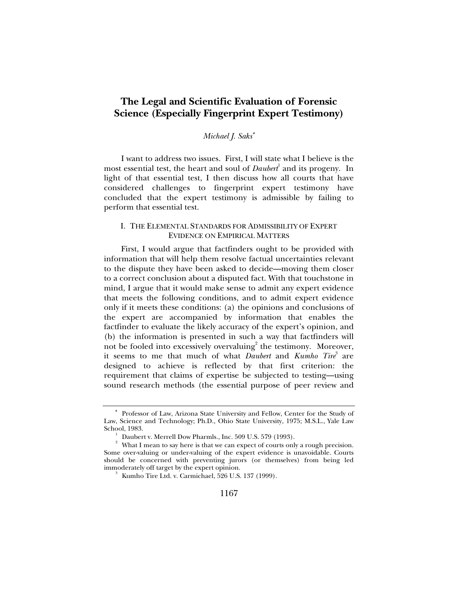# **The Legal and Scientific Evaluation of Forensic Science (Especially Fingerprint Expert Testimony)**

# *Michael J. Saks*<sup>∗</sup>

I want to address two issues. First, I will state what I believe is the most essential test, the heart and soul of *Daubert*<sup>1</sup> and its progeny. In light of that essential test, I then discuss how all courts that have considered challenges to fingerprint expert testimony have concluded that the expert testimony is admissible by failing to perform that essential test.

# I. THE ELEMENTAL STANDARDS FOR ADMISSIBILITY OF EXPERT EVIDENCE ON EMPIRICAL MATTERS

First, I would argue that factfinders ought to be provided with information that will help them resolve factual uncertainties relevant to the dispute they have been asked to decide—moving them closer to a correct conclusion about a disputed fact. With that touchstone in mind, I argue that it would make sense to admit any expert evidence that meets the following conditions, and to admit expert evidence only if it meets these conditions: (a) the opinions and conclusions of the expert are accompanied by information that enables the factfinder to evaluate the likely accuracy of the expert's opinion, and (b) the information is presented in such a way that factfinders will not be fooled into excessively overvaluing<sup>2</sup> the testimony. Moreover, it seems to me that much of what *Daubert* and *Kumho Tire*<sup>3</sup> are designed to achieve is reflected by that first criterion: the requirement that claims of expertise be subjected to testing—using sound research methods (the essential purpose of peer review and

<sup>∗</sup> Professor of Law, Arizona State University and Fellow, Center for the Study of Law, Science and Technology; Ph.D., Ohio State University, 1975; M.S.L., Yale Law School, 1983.<br><sup>1</sup> Daubert v. Merrell Dow Pharmls., Inc. 509 U.S. 579 (1993).

 $^2$  Daubert v. Merrell Dow Pharmls., Inc. 509 U.S. 579 (1993).<br> $^2$  What I mean to say here is that we can expect of courts only a rough precision. Some over-valuing or under-valuing of the expert evidence is unavoidable. Courts should be concerned with preventing jurors (or themselves) from being led immoderately off target by the expert opinion.

 $3\sigma$  Kumho Tire Ltd. v. Carmichael, 526 U.S. 137 (1999).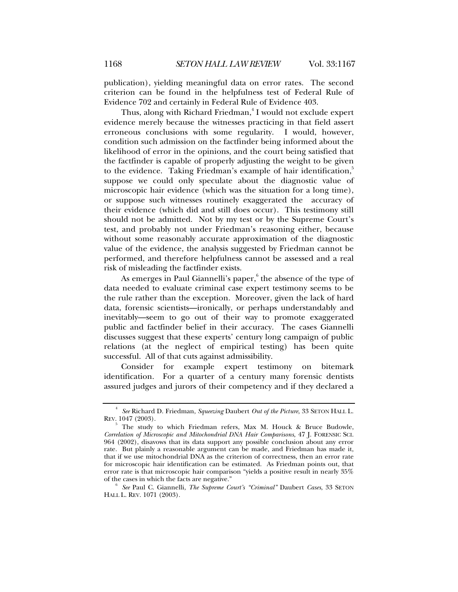publication), yielding meaningful data on error rates. The second criterion can be found in the helpfulness test of Federal Rule of Evidence 702 and certainly in Federal Rule of Evidence 403.

Thus, along with Richard Friedman,<sup>4</sup> I would not exclude expert evidence merely because the witnesses practicing in that field assert erroneous conclusions with some regularity. I would, however, condition such admission on the factfinder being informed about the likelihood of error in the opinions, and the court being satisfied that the factfinder is capable of properly adjusting the weight to be given to the evidence. Taking Friedman's example of hair identification, suppose we could only speculate about the diagnostic value of microscopic hair evidence (which was the situation for a long time), or suppose such witnesses routinely exaggerated the accuracy of their evidence (which did and still does occur). This testimony still should not be admitted. Not by my test or by the Supreme Court's test, and probably not under Friedman's reasoning either, because without some reasonably accurate approximation of the diagnostic value of the evidence, the analysis suggested by Friedman cannot be performed, and therefore helpfulness cannot be assessed and a real risk of misleading the factfinder exists.

As emerges in Paul Giannelli's paper, $^6$  the absence of the type of data needed to evaluate criminal case expert testimony seems to be the rule rather than the exception. Moreover, given the lack of hard data, forensic scientists—ironically, or perhaps understandably and inevitably—seem to go out of their way to promote exaggerated public and factfinder belief in their accuracy. The cases Giannelli discusses suggest that these experts' century long campaign of public relations (at the neglect of empirical testing) has been quite successful. All of that cuts against admissibility.

Consider for example expert testimony on bitemark identification. For a quarter of a century many forensic dentists assured judges and jurors of their competency and if they declared a

<sup>4</sup> *See* Richard D. Friedman, *Squeezing* Daubert *Out of the Picture*, 33 SETON HALL L. REV. 1047 (2003).

<sup>5</sup> The study to which Friedman refers, Max M. Houck & Bruce Budowle, *Correlation of Microscopic and Mitochondrial DNA Hair Comparisons*, 47 J. FORENSIC SCI. 964 (2002), disavows that its data support any possible conclusion about any error rate. But plainly a reasonable argument can be made, and Friedman has made it, that if we use mitochondrial DNA as the criterion of correctness, then an error rate for microscopic hair identification can be estimated. As Friedman points out, that error rate is that microscopic hair comparison "yields a positive result in nearly 35% of the cases in which the facts are negative." 6

*See* Paul C. Giannelli, *The Supreme Court's "Criminal"* Daubert *Cases*, 33 SETON HALL L. REV. 1071 (2003).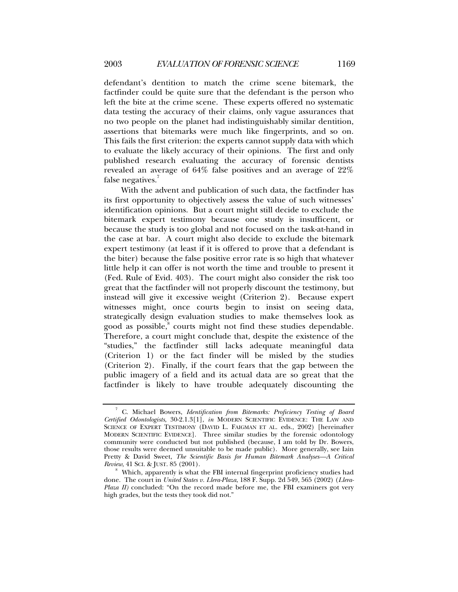defendant's dentition to match the crime scene bitemark, the factfinder could be quite sure that the defendant is the person who left the bite at the crime scene. These experts offered no systematic data testing the accuracy of their claims, only vague assurances that no two people on the planet had indistinguishably similar dentition, assertions that bitemarks were much like fingerprints, and so on. This fails the first criterion: the experts cannot supply data with which to evaluate the likely accuracy of their opinions. The first and only published research evaluating the accuracy of forensic dentists revealed an average of 64% false positives and an average of 22% false negatives.<sup>7</sup>

With the advent and publication of such data, the factfinder has its first opportunity to objectively assess the value of such witnesses' identification opinions. But a court might still decide to exclude the bitemark expert testimony because one study is insufficent, or because the study is too global and not focused on the task-at-hand in the case at bar. A court might also decide to exclude the bitemark expert testimony (at least if it is offered to prove that a defendant is the biter) because the false positive error rate is so high that whatever little help it can offer is not worth the time and trouble to present it (Fed. Rule of Evid. 403). The court might also consider the risk too great that the factfinder will not properly discount the testimony, but instead will give it excessive weight (Criterion 2). Because expert witnesses might, once courts begin to insist on seeing data, strategically design evaluation studies to make themselves look as good as possible,<sup>8</sup> courts might not find these studies dependable. Therefore, a court might conclude that, despite the existence of the "studies," the factfinder still lacks adequate meaningful data (Criterion 1) or the fact finder will be misled by the studies (Criterion 2). Finally, if the court fears that the gap between the public imagery of a field and its actual data are so great that the factfinder is likely to have trouble adequately discounting the

<sup>7</sup> C. Michael Bowers, *Identification from Bitemarks: Proficiency Testing of Board Certified Odontologists*, 30-2.1.3[1], *in* MODERN SCIENTIFIC EVIDENCE: THE LAW AND SCIENCE OF EXPERT TESTIMONY (DAVID L. FAIGMAN ET AL. eds., 2002) [hereinafter MODERN SCIENTIFIC EVIDENCE]. Three similar studies by the forensic odontology community were conducted but not published (because, I am told by Dr. Bowers, those results were deemed unsuitable to be made public). More generally, see Iain Pretty & David Sweet, *The Scientific Basis for Human Bitemark Analyses—A Critical Review*, 41 SCI. & JUST. 85 (2001).

<sup>&</sup>lt;sup>8</sup> Which, apparently is what the FBI internal fingerprint proficiency studies had done. The court in *United States v. Llera-Plaza*, 188 F. Supp. 2d 549, 565 (2002) (*Llera-Plaza II*) concluded: "On the record made before me, the FBI examiners got very high grades, but the tests they took did not."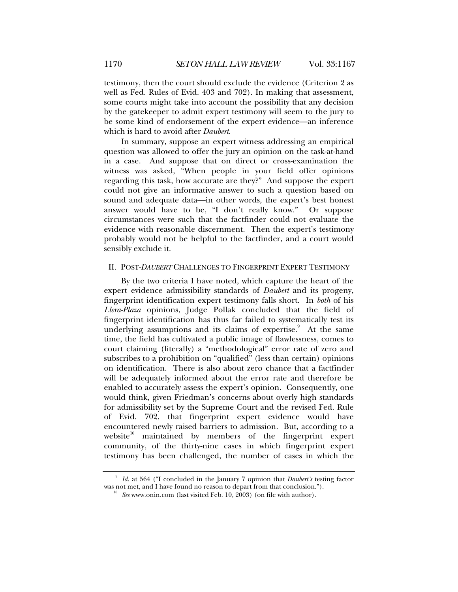testimony, then the court should exclude the evidence (Criterion 2 as well as Fed. Rules of Evid. 403 and 702). In making that assessment, some courts might take into account the possibility that any decision by the gatekeeper to admit expert testimony will seem to the jury to be some kind of endorsement of the expert evidence—an inference which is hard to avoid after *Daubert*.

In summary, suppose an expert witness addressing an empirical question was allowed to offer the jury an opinion on the task-at-hand in a case. And suppose that on direct or cross-examination the witness was asked, "When people in your field offer opinions regarding this task, how accurate are they?" And suppose the expert could not give an informative answer to such a question based on sound and adequate data—in other words, the expert's best honest answer would have to be, "I don't really know." Or suppose circumstances were such that the factfinder could not evaluate the evidence with reasonable discernment. Then the expert's testimony probably would not be helpful to the factfinder, and a court would sensibly exclude it.

# II. POST-*DAUBERT* CHALLENGES TO FINGERPRINT EXPERT TESTIMONY

By the two criteria I have noted, which capture the heart of the expert evidence admissibility standards of *Daubert* and its progeny, fingerprint identification expert testimony falls short. In *both* of his *Llera-Plaza* opinions, Judge Pollak concluded that the field of fingerprint identification has thus far failed to systematically test its underlying assumptions and its claims of expertise.<sup>9</sup> At the same time, the field has cultivated a public image of flawlessness, comes to court claiming (literally) a "methodological" error rate of zero and subscribes to a prohibition on "qualified" (less than certain) opinions on identification. There is also about zero chance that a factfinder will be adequately informed about the error rate and therefore be enabled to accurately assess the expert's opinion. Consequently, one would think, given Friedman's concerns about overly high standards for admissibility set by the Supreme Court and the revised Fed. Rule of Evid. 702, that fingerprint expert evidence would have encountered newly raised barriers to admission. But, according to a website $10$  maintained by members of the fingerprint expert community, of the thirty-nine cases in which fingerprint expert testimony has been challenged, the number of cases in which the

<sup>9</sup> *Id.* at 564 ("I concluded in the January 7 opinion that *Daubert's* testing factor was not met, and I have found no reason to depart from that conclusion.").<br><sup>10</sup> *See* www.onin.com (last visited Feb. 10, 2003) (on file with author).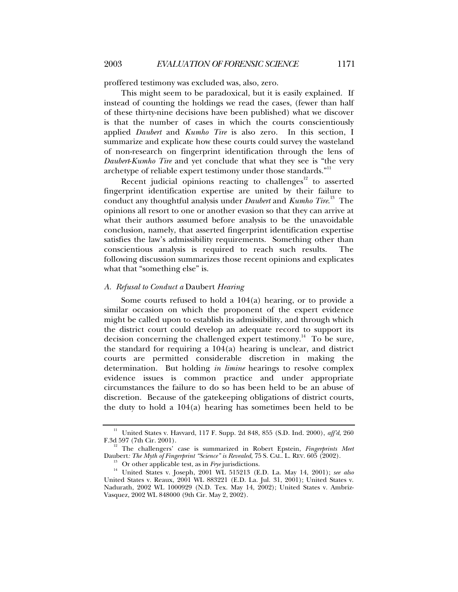proffered testimony was excluded was, also, zero.

This might seem to be paradoxical, but it is easily explained. If instead of counting the holdings we read the cases, (fewer than half of these thirty-nine decisions have been published) what we discover is that the number of cases in which the courts conscientiously applied *Daubert* and *Kumho Tire* is also zero. In this section, I summarize and explicate how these courts could survey the wasteland of non-research on fingerprint identification through the lens of *Daubert*-*Kumho Tire* and yet conclude that what they see is "the very archetype of reliable expert testimony under those standards."<sup>11</sup>

Recent judicial opinions reacting to challenges $12$  to asserted fingerprint identification expertise are united by their failure to conduct any thoughtful analysis under *Daubert* and *Kumho Tire*. 13 The opinions all resort to one or another evasion so that they can arrive at what their authors assumed before analysis to be the unavoidable conclusion, namely, that asserted fingerprint identification expertise satisfies the law's admissibility requirements. Something other than conscientious analysis is required to reach such results. The following discussion summarizes those recent opinions and explicates what that "something else" is.

## *A. Refusal to Conduct a* Daubert *Hearing*

Some courts refused to hold a 104(a) hearing, or to provide a similar occasion on which the proponent of the expert evidence might be called upon to establish its admissibility, and through which the district court could develop an adequate record to support its decision concerning the challenged expert testimony.<sup>14</sup> To be sure, the standard for requiring a 104(a) hearing is unclear, and district courts are permitted considerable discretion in making the determination. But holding *in limine* hearings to resolve complex evidence issues is common practice and under appropriate circumstances the failure to do so has been held to be an abuse of discretion. Because of the gatekeeping obligations of district courts, the duty to hold a 104(a) hearing has sometimes been held to be

<sup>&</sup>lt;sup>11</sup> United States v. Havvard, 117 F. Supp. 2d 848, 855 (S.D. Ind. 2000), *aff'd*, 260 F.3d 597 (7th Cir. 2001).

<sup>&</sup>lt;sup>12</sup> The challengers' case is summarized in Robert Epstein, *Fingerprints Meet* Daubert: *The Myth of Fingerprint "Science" is Revealed*, 75 S. CAL. L. REV. 605 (2002).

<sup>&</sup>lt;sup>13</sup> Or other applicable test, as in Frye jurisdictions.<br><sup>14</sup> United States v. Joseph, 2001 WL 515213 (E.D. La. May 14, 2001); see also United States v. Reaux, 2001 WL 883221 (E.D. La. Jul. 31, 2001); United States v. Nadurath, 2002 WL 1000929 (N.D. Tex. May 14, 2002); United States v. Ambriz-Vasquez, 2002 WL 848000 (9th Cir. May 2, 2002).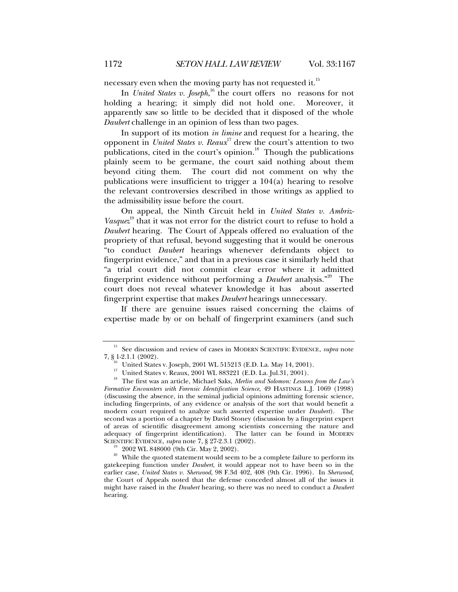necessary even when the moving party has not requested it.<sup>15</sup>

In *United States v. Joseph*,<sup>16</sup> the court offers no reasons for not holding a hearing; it simply did not hold one. Moreover, it apparently saw so little to be decided that it disposed of the whole *Daubert* challenge in an opinion of less than two pages.

In support of its motion *in limine* and request for a hearing, the opponent in *United States v. Reaux*17 drew the court's attention to two publications, cited in the court's opinion. $18$  Though the publications plainly seem to be germane, the court said nothing about them beyond citing them. The court did not comment on why the publications were insufficient to trigger a 104(a) hearing to resolve the relevant controversies described in those writings as applied to the admissibility issue before the court.

On appeal, the Ninth Circuit held in *United States v. Ambriz-Vasquez*<sup>19</sup> that it was not error for the district court to refuse to hold a *Daubert* hearing. The Court of Appeals offered no evaluation of the propriety of that refusal, beyond suggesting that it would be onerous "to conduct *Daubert* hearings whenever defendants object to fingerprint evidence," and that in a previous case it similarly held that "a trial court did not commit clear error where it admitted fingerprint evidence without performing a *Daubert* analysis."20 The court does not reveal whatever knowledge it has about asserted fingerprint expertise that makes *Daubert* hearings unnecessary.

If there are genuine issues raised concerning the claims of expertise made by or on behalf of fingerprint examiners (and such

<sup>&</sup>lt;sup>15</sup> See discussion and review of cases in MODERN SCIENTIFIC EVIDENCE, *supra* note 7, § 1-2.1.1 (2002).

<sup>&</sup>lt;sup>16</sup> United States v. Joseph, 2001 WL 515213 (E.D. La. May 14, 2001).<br><sup>17</sup> United States v. Reaux, 2001 WL 883221 (E.D. La. Jul.31, 2001).<br><sup>18</sup> The first was an article, Michael Saks, *Merlin and Solomon: Lessons from the Formative Encounters with Forensic Identification Science*, 49 HASTINGS L.J. 1069 (1998) (discussing the absence, in the seminal judicial opinions admitting forensic science, including fingerprints, of any evidence or analysis of the sort that would benefit a modern court required to analyze such asserted expertise under *Daubert*). The second was a portion of a chapter by David Stoney (discussion by a fingerprint expert of areas of scientific disagreement among scientists concerning the nature and adequacy of fingerprint identification). The latter can be found in MODERN SCIENTIFIC EVIDENCE, *supra* note 7, § 27-2.3.1 (2002).

<sup>&</sup>lt;sup>19</sup> 2002 WL 848000 (9th Cir. May 2, 2002). <sup>20</sup> While the quoted statement would seem to be a complete failure to perform its gatekeeping function under *Daubert*, it would appear not to have been so in the earlier case, *United States v. Sherwood*, 98 F.3d 402, 408 (9th Cir. 1996). In *Sherwood*, the Court of Appeals noted that the defense conceded almost all of the issues it might have raised in the *Daubert* hearing, so there was no need to conduct a *Daubert* hearing.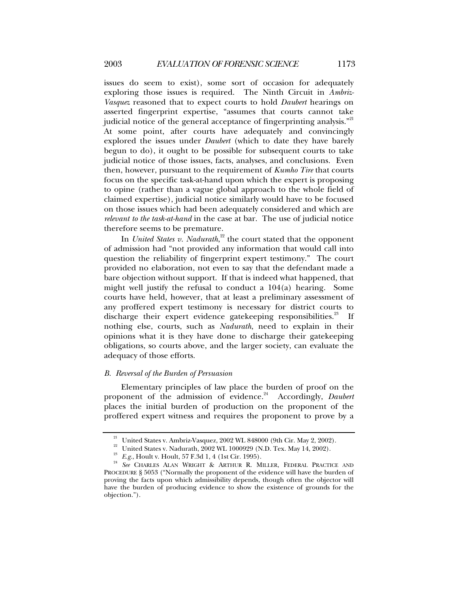issues do seem to exist), some sort of occasion for adequately exploring those issues is required. The Ninth Circuit in *Ambriz-Vasquez* reasoned that to expect courts to hold *Daubert* hearings on asserted fingerprint expertise, "assumes that courts cannot take judicial notice of the general acceptance of fingerprinting analysis."<sup>21</sup> At some point, after courts have adequately and convincingly explored the issues under *Daubert* (which to date they have barely begun to do), it ought to be possible for subsequent courts to take judicial notice of those issues, facts, analyses, and conclusions. Even then, however, pursuant to the requirement of *Kumho Tire* that courts focus on the specific task-at-hand upon which the expert is proposing to opine (rather than a vague global approach to the whole field of claimed expertise), judicial notice similarly would have to be focused on those issues which had been adequately considered and which are *relevant to the task-at-hand* in the case at bar. The use of judicial notice therefore seems to be premature.

In *United States v. Nadurath*,<sup>22</sup> the court stated that the opponent of admission had "not provided any information that would call into question the reliability of fingerprint expert testimony." The court provided no elaboration, not even to say that the defendant made a bare objection without support. If that is indeed what happened, that might well justify the refusal to conduct a 104(a) hearing. Some courts have held, however, that at least a preliminary assessment of any proffered expert testimony is necessary for district courts to discharge their expert evidence gatekeeping responsibilities.<sup>23</sup> If nothing else, courts, such as *Nadurath*, need to explain in their opinions what it is they have done to discharge their gatekeeping obligations, so courts above, and the larger society, can evaluate the adequacy of those efforts.

# *B. Reversal of the Burden of Persuasion*

Elementary principles of law place the burden of proof on the proponent of the admission of evidence.<sup>24</sup> Accordingly, *Daubert* places the initial burden of production on the proponent of the proffered expert witness and requires the proponent to prove by a

<sup>&</sup>lt;sup>21</sup> United States v. Ambriz-Vasquez, 2002 WL 848000 (9th Cir. May 2, 2002).<br><sup>22</sup> United States v. Nadurath, 2002 WL 1000929 (N.D. Tex. May 14, 2002).<br><sup>23</sup> *E.g.*, Hoult v. Hoult, 57 F.3d 1, 4 (1st Cir. 1995).<br><sup>24</sup> *See* PROCEDURE § 5053 ("Normally the proponent of the evidence will have the burden of proving the facts upon which admissibility depends, though often the objector will have the burden of producing evidence to show the existence of grounds for the objection.").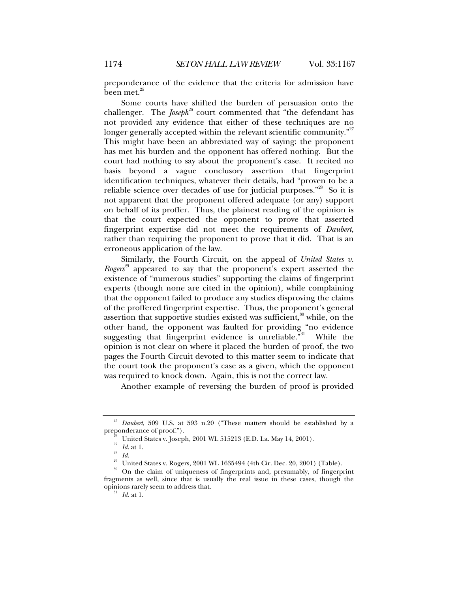preponderance of the evidence that the criteria for admission have been met.<sup>25</sup>

Some courts have shifted the burden of persuasion onto the challenger. The *Joseph*<sup>26</sup> court commented that "the defendant has not provided any evidence that either of these techniques are no longer generally accepted within the relevant scientific community."<sup>27</sup> This might have been an abbreviated way of saying: the proponent has met his burden and the opponent has offered nothing. But the court had nothing to say about the proponent's case. It recited no basis beyond a vague conclusory assertion that fingerprint identification techniques, whatever their details, had "proven to be a reliable science over decades of use for judicial purposes."<sup>28</sup> So it is not apparent that the proponent offered adequate (or any) support on behalf of its proffer. Thus, the plainest reading of the opinion is that the court expected the opponent to prove that asserted fingerprint expertise did not meet the requirements of *Daubert*, rather than requiring the proponent to prove that it did. That is an erroneous application of the law.

Similarly, the Fourth Circuit, on the appeal of *United States v*. *Rogers*<sup>29</sup> appeared to say that the proponent's expert asserted the existence of "numerous studies" supporting the claims of fingerprint experts (though none are cited in the opinion), while complaining that the opponent failed to produce any studies disproving the claims of the proffered fingerprint expertise. Thus, the proponent's general assertion that supportive studies existed was sufficient, $30$  while, on the other hand, the opponent was faulted for providing "no evidence suggesting that fingerprint evidence is unreliable." While the opinion is not clear on where it placed the burden of proof, the two pages the Fourth Circuit devoted to this matter seem to indicate that the court took the proponent's case as a given, which the opponent was required to knock down. Again, this is not the correct law.

Another example of reversing the burden of proof is provided

 $25$  *Daubert*, 509 U.S. at 593 n.20 ("These matters should be established by a preponderance of proof.").

<sup>&</sup>lt;sup>26</sup> United States v. Joseph, 2001 WL 515213 (E.D. La. May 14, 2001).<br><sup>27</sup> *Id.* at 1.<br><sup>28</sup> *Id.*<br>Imited States v. Rogers, 2001 WL 1635494 (4th Cir. Dec. 20, 2001) (Table).<br><sup>30</sup> On the claim of uniqueness of fingerprints fragments as well, since that is usually the real issue in these cases, though the opinions rarely seem to address that. 31 *Id.* at 1.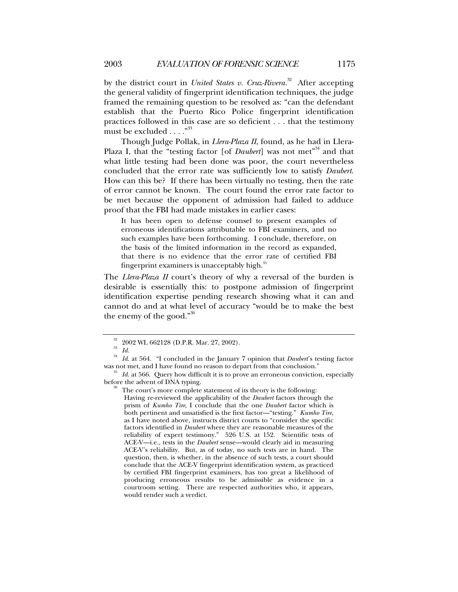by the district court in *United States v. Cruz-Rivera.*32 After accepting the general validity of fingerprint identification techniques, the judge framed the remaining question to be resolved as: "can the defendant establish that the Puerto Rico Police fingerprint identification practices followed in this case are so deficient . . . that the testimony must be excluded . . . . "<sup>33</sup>

Though Judge Pollak, in *Llera-Plaza II*, found, as he had in Llera-Plaza I, that the "testing factor [of *Daubert*] was not met<sup>34</sup> and that what little testing had been done was poor, the court nevertheless concluded that the error rate was sufficiently low to satisfy *Daubert*. How can this be? If there has been virtually no testing, then the rate of error cannot be known. The court found the error rate factor to be met because the opponent of admission had failed to adduce proof that the FBI had made mistakes in earlier cases:

It has been open to defense counsel to present examples of erroneous identifications attributable to FBI examiners, and no such examples have been forthcoming. I conclude, therefore, on the basis of the limited information in the record as expanded, that there is no evidence that the error rate of certified FBI fingerprint examiners is unacceptably high.<sup>35</sup>

The *Llera-Plaza II* court's theory of why a reversal of the burden is desirable is essentially this: to postpone admission of fingerprint identification expertise pending research showing what it can and cannot do and at what level of accuracy "would be to make the best the enemy of the good."<sup>36</sup>

Having re-reviewed the applicability of the *Daubert* factors through the prism of *Kumho Tire*, I conclude that the one *Daubert* factor which is both pertinent and unsatisfied is the first factor—"testing." *Kumho Tire*, as I have noted above, instructs district courts to "consider the specific factors identified in *Daubert* where they are reasonable measures of the reliability of expert testimony." 526 U.S. at 152. Scientific tests of ACE-V—i.e., tests in the *Daubert* sense—would clearly aid in measuring ACE-V's reliability. But, as of today, no such tests are in hand. The question, then, is whether, in the absence of such tests, a court should conclude that the ACE-V fingerprint identification system, as practiced by certified FBI fingerprint examiners, has too great a likelihood of producing erroneous results to be admissible as evidence in a courtroom setting. There are respected authorities who, it appears, would render such a verdict.

<sup>&</sup>lt;sup>32</sup> 2002 WL 662128 (D.P.R. Mar. 27, 2002).<br><sup>33</sup> *Id. Id.* at 564. "I concluded in the January 7 opinion that *Daubert's* testing factor was not met, and I have found no reason to depart from that conclusion."

 $^{35}$  *Id.* at 566. Query how difficult it is to prove an erroneous conviction, especially before the advent of DNA typing.

The court's more complete statement of its theory is the following: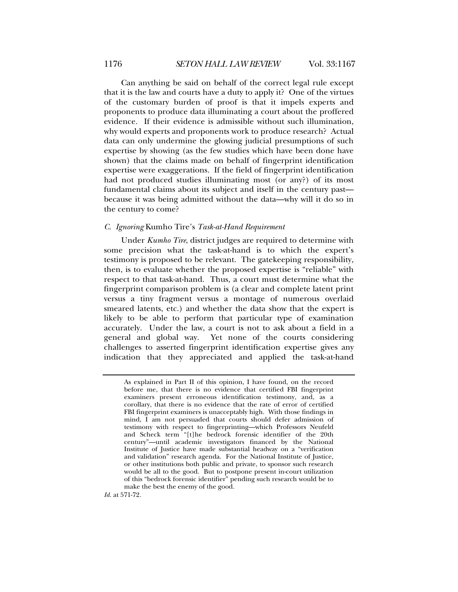Can anything be said on behalf of the correct legal rule except that it is the law and courts have a duty to apply it? One of the virtues of the customary burden of proof is that it impels experts and proponents to produce data illuminating a court about the proffered evidence. If their evidence is admissible without such illumination, why would experts and proponents work to produce research? Actual data can only undermine the glowing judicial presumptions of such expertise by showing (as the few studies which have been done have shown) that the claims made on behalf of fingerprint identification expertise were exaggerations. If the field of fingerprint identification had not produced studies illuminating most (or any?) of its most fundamental claims about its subject and itself in the century past because it was being admitted without the data—why will it do so in the century to come?

## *C. Ignoring* Kumho Tire's *Task-at-Hand Requirement*

Under *Kumho Tire*, district judges are required to determine with some precision what the task-at-hand is to which the expert's testimony is proposed to be relevant. The gatekeeping responsibility, then, is to evaluate whether the proposed expertise is "reliable" with respect to that task-at-hand. Thus, a court must determine what the fingerprint comparison problem is (a clear and complete latent print versus a tiny fragment versus a montage of numerous overlaid smeared latents, etc.) and whether the data show that the expert is likely to be able to perform that particular type of examination accurately. Under the law, a court is not to ask about a field in a general and global way. Yet none of the courts considering challenges to asserted fingerprint identification expertise gives any indication that they appreciated and applied the task-at-hand

*Id.* at 571-72.

As explained in Part II of this opinion, I have found, on the record before me, that there is no evidence that certified FBI fingerprint examiners present erroneous identification testimony, and, as a corollary, that there is no evidence that the rate of error of certified FBI fingerprint examiners is unacceptably high. With those findings in mind, I am not persuaded that courts should defer admission of testimony with respect to fingerprinting—which Professors Neufeld and Scheck term "[t]he bedrock forensic identifier of the 20th century"—until academic investigators financed by the National Institute of Justice have made substantial headway on a "verification and validation" research agenda. For the National Institute of Justice, or other institutions both public and private, to sponsor such research would be all to the good. But to postpone present in-court utilization of this "bedrock forensic identifier" pending such research would be to make the best the enemy of the good.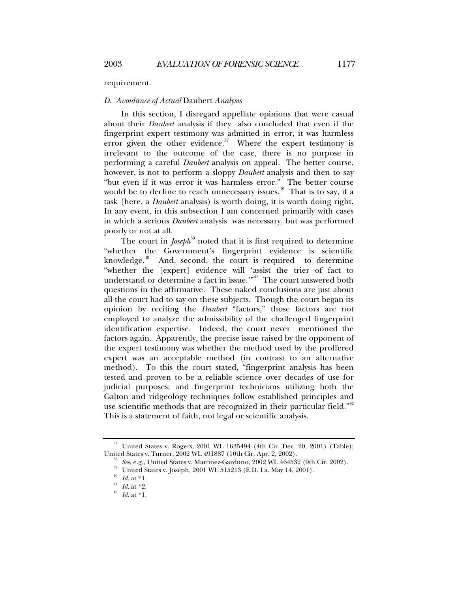#### requirement.

#### *D. Avoidance of Actual* Daubert *Analysis*

In this section, I disregard appellate opinions that were casual about their *Daubert* analysis if they also concluded that even if the fingerprint expert testimony was admitted in error, it was harmless error given the other evidence. $37$  Where the expert testimony is irrelevant to the outcome of the case, there is no purpose in performing a careful *Daubert* analysis on appeal. The better course, however, is not to perform a sloppy *Daubert* analysis and then to say "but even if it was error it was harmless error." The better course would be to decline to reach unnecessary issues.<sup>38</sup> That is to say, if a task (here, a *Daubert* analysis) is worth doing, it is worth doing right. In any event, in this subsection I am concerned primarily with cases in which a serious *Daubert* analysis was necessary, but was performed poorly or not at all.

The court in *Joseph*<sup>39</sup> noted that it is first required to determine "whether the Government's fingerprint evidence is scientific knowledge. $40$  And, second, the court is required to determine "whether the [expert] evidence will 'assist the trier of fact to understand or determine a fact in issue."<sup>41</sup> The court answered both questions in the affirmative. These naked conclusions are just about all the court had to say on these subjects. Though the court began its opinion by reciting the *Daubert* "factors," those factors are not employed to analyze the admissibility of the challenged fingerprint identification expertise. Indeed, the court never mentioned the factors again. Apparently, the precise issue raised by the opponent of the expert testimony was whether the method used by the proffered expert was an acceptable method (in contrast to an alternative method). To this the court stated, "fingerprint analysis has been tested and proven to be a reliable science over decades of use for judicial purposes; and fingerprint technicians utilizing both the Galton and ridgeology techniques follow established principles and use scientific methods that are recognized in their particular field."<sup>42</sup> This is a statement of faith, not legal or scientific analysis.

 $37$  United States v. Rogers, 2001 WL 1635494 (4th Cir. Dec. 20, 2001) (Table);<br>United States v. Turner, 2002 WL 491887 (10th Cir. Apr. 2, 2002).

<sup>&</sup>lt;sup>38</sup> *See*, e.g., United States v. Martinez-Garduno, 2002 WL 464532 (9th Cir. 2002).<br><sup>39</sup> United States v. Joseph, 2001 WL 515213 (E.D. La. May 14, 2001).<br><sup>40</sup> *Id.* at \*1.<br><sup>41</sup> *Id.* at \*2.<br>*Id.* at \*1.<br><sup>42</sup> *Id.* at \*1.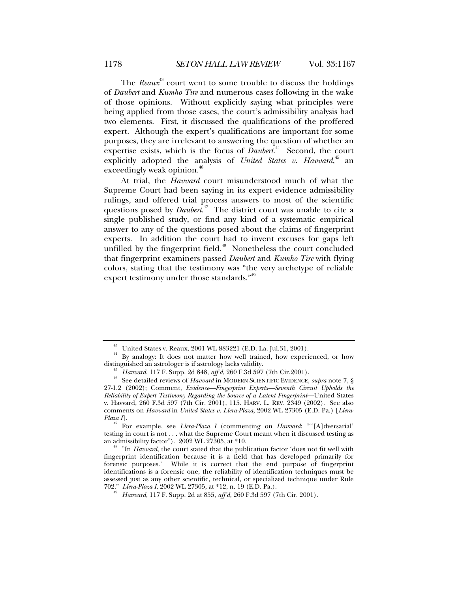The *Reaux*<sup>43</sup> court went to some trouble to discuss the holdings of *Daubert* and *Kumho Tire* and numerous cases following in the wake of those opinions. Without explicitly saying what principles were being applied from those cases, the court's admissibility analysis had two elements. First, it discussed the qualifications of the proffered expert. Although the expert's qualifications are important for some purposes, they are irrelevant to answering the question of whether an expertise exists, which is the focus of *Daubert*.<sup>44</sup> Second, the court explicitly adopted the analysis of *United States v. Havvard*,<sup>45</sup> an exceedingly weak opinion.<sup>46</sup>

At trial, the *Havvard* court misunderstood much of what the Supreme Court had been saying in its expert evidence admissibility rulings, and offered trial process answers to most of the scientific questions posed by *Daubert*. 47 The district court was unable to cite a single published study, or find any kind of a systematic empirical answer to any of the questions posed about the claims of fingerprint experts. In addition the court had to invent excuses for gaps left unfilled by the fingerprint field.<sup>48</sup> Nonetheless the court concluded that fingerprint examiners passed *Daubert* and *Kumho Tire* with flying colors, stating that the testimony was "the very archetype of reliable expert testimony under those standards."<sup>49</sup>

<sup>&</sup>lt;sup>43</sup> United States v. Reaux, 2001 WL 883221 (E.D. La. Jul.31, 2001).<br><sup>44</sup> By analogy: It does not matter how well trained, how experienced, or how distinguished an astrologer is if astrology lacks validity.

<sup>&</sup>lt;sup>45</sup> *Havvard*, 117 F. Supp. 2d 848, *aff'd*, 260 F.3d 597 (7th Cir.2001).<br><sup>46</sup> See detailed reviews of *Havvard* in MODERN SCIENTIFIC EVIDENCE, *supra* note 7, § 27-1.2 (2002); Comment, *Evidence—Fingerprint Experts—Seventh Circuit Upholds the Reliability of Expert Testimony Regarding the Source of a Latent Fingerprint*—United States v. Havvard, 260 F.3d 597 (7th Cir. 2001), 115. HARV. L. REV. 2349 (2002). See also comments on *Havvard* in *United States v. Llera-Plaza*, 2002 WL 27305 (E.D. Pa.) [*Llera-*

For example, see *Llera-Plaza I* (commenting on *Havvard*: ""[A]dversarial' testing in court is not  $\dots$  what the Supreme Court meant when it discussed testing as an admissibility factor"). 2002 WL 27305, at \*10.

<sup>&</sup>lt;sup>48</sup> "In *Havvard*, the court stated that the publication factor 'does not fit well with fingerprint identification because it is a field that has developed primarily for forensic purposes.' While it is correct that the end purpose of fingerprint identifications is a forensic one, the reliability of identification techniques must be assessed just as any other scientific, technical, or specialized technique under Rule 702." Llera-Plaza I, 2002 WL 27305, at \*12, n. 19 (E.D. Pa.).

*Havvard*, 117 F. Supp. 2d at 855, *aff'd*, 260 F.3d 597 (7th Cir. 2001).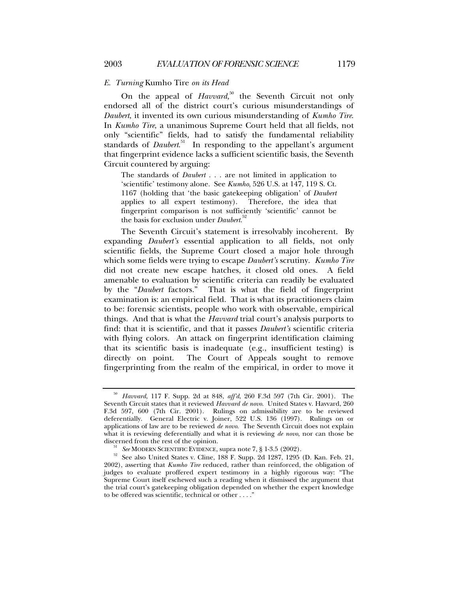#### *E. Turning* Kumho Tire *on its Head*

On the appeal of *Havvard*,<sup>50</sup> the Seventh Circuit not only endorsed all of the district court's curious misunderstandings of *Daubert*, it invented its own curious misunderstanding of *Kumho Tire*. In *Kumho Tire*, a unanimous Supreme Court held that all fields, not only "scientific" fields, had to satisfy the fundamental reliability standards of *Daubert*. 51 In responding to the appellant's argument that fingerprint evidence lacks a sufficient scientific basis, the Seventh Circuit countered by arguing:

The standards of *Daubert* . . . are not limited in application to 'scientific' testimony alone. See *Kumho*, 526 U.S. at 147, 119 S. Ct. 1167 (holding that 'the basic gatekeeping obligation' of *Daubert* applies to all expert testimony). Therefore, the idea that fingerprint comparison is not sufficiently 'scientific' cannot be the basis for exclusion under *Daubert*. 52

The Seventh Circuit's statement is irresolvably incoherent. By expanding *Daubert's* essential application to all fields, not only scientific fields, the Supreme Court closed a major hole through which some fields were trying to escape *Daubert's* scrutiny. *Kumho Tire* did not create new escape hatches, it closed old ones. A field amenable to evaluation by scientific criteria can readily be evaluated by the "*Daubert* factors." That is what the field of fingerprint examination is: an empirical field. That is what its practitioners claim to be: forensic scientists, people who work with observable, empirical things. And that is what the *Havvard* trial court's analysis purports to find: that it is scientific, and that it passes *Daubert's* scientific criteria with flying colors. An attack on fingerprint identification claiming that its scientific basis is inadequate (e.g., insufficient testing) is directly on point. The Court of Appeals sought to remove fingerprinting from the realm of the empirical, in order to move it

<sup>50</sup> *Havvard*, 117 F. Supp. 2d at 848, *aff'd*, 260 F.3d 597 (7th Cir. 2001). The Seventh Circuit states that it reviewed *Havvard de novo*. United States v. Havvard, 260 F.3d 597, 600 (7th Cir. 2001). Rulings on admissibility are to be reviewed deferentially. General Electric v. Joiner, 522 U.S. 136 (1997). Rulings on or applications of law are to be reviewed *de novo*. The Seventh Circuit does not explain what it is reviewing deferentially and what it is reviewing *de novo*, nor can those be

discerned from the rest of the opinion.<br><sup>51</sup> *See* MODERN SCIENTIFIC EVIDENCE, supra note 7, § 1-3.5 (2002).<br><sup>52</sup> See also United States v. Cline, 188 F. Supp. 2d 1287, 1295 (D. Kan. Feb. 21, 2002), asserting that *Kumho Tire* reduced, rather than reinforced, the obligation of judges to evaluate proffered expert testimony in a highly rigorous way: "The Supreme Court itself eschewed such a reading when it dismissed the argument that the trial court's gatekeeping obligation depended on whether the expert knowledge to be offered was scientific, technical or other . . . ."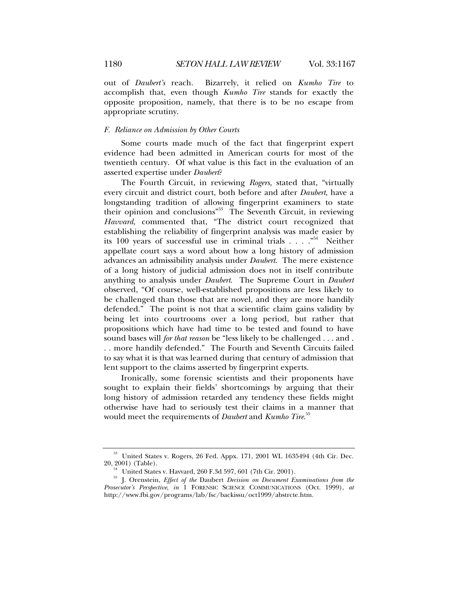out of *Daubert's* reach. Bizarrely, it relied on *Kumho Tire* to accomplish that, even though *Kumho Tire* stands for exactly the opposite proposition, namely, that there is to be no escape from appropriate scrutiny.

#### *F. Reliance on Admission by Other Courts*

Some courts made much of the fact that fingerprint expert evidence had been admitted in American courts for most of the twentieth century. Of what value is this fact in the evaluation of an asserted expertise under *Daubert*?

The Fourth Circuit, in reviewing *Rogers,* stated that, "virtually every circuit and district court, both before and after *Daubert*, have a longstanding tradition of allowing fingerprint examiners to state their opinion and conclusions"<sup>53</sup> The Seventh Circuit, in reviewing *Havvard*, commented that, "The district court recognized that establishing the reliability of fingerprint analysis was made easier by its 100 years of successful use in criminal trials . . . ."54 Neither appellate court says a word about how a long history of admission advances an admissibility analysis under *Daubert*. The mere existence of a long history of judicial admission does not in itself contribute anything to analysis under *Daubert*. The Supreme Court in *Daubert* observed, "Of course, well-established propositions are less likely to be challenged than those that are novel, and they are more handily defended." The point is not that a scientific claim gains validity by being let into courtrooms over a long period, but rather that propositions which have had time to be tested and found to have sound bases will *for that reason* be "less likely to be challenged . . . and . . . more handily defended." The Fourth and Seventh Circuits failed to say what it is that was learned during that century of admission that lent support to the claims asserted by fingerprint experts.

Ironically, some forensic scientists and their proponents have sought to explain their fields' shortcomings by arguing that their long history of admission retarded any tendency these fields might otherwise have had to seriously test their claims in a manner that would meet the requirements of *Daubert* and *Kumho Tire*. 55

<sup>53</sup> United States v. Rogers, 26 Fed. Appx. 171, 2001 WL 1635494 (4th Cir. Dec.

<sup>20, 2001) (</sup>Table). 54 United States v. Havvard, 260 F.3d 597, 601 (7th Cir. 2001). 55 J. Orenstein, *Effect of the* Daubert *Decision on Document Examinations from the Prosecutor's Perspective*, *in* 1 FORENSIC SCIENCE COMMUNICATIONS (Oct. 1999), *at* http://www.fbi.gov/programs/lab/fsc/backissu/oct1999/abstrcte.htm.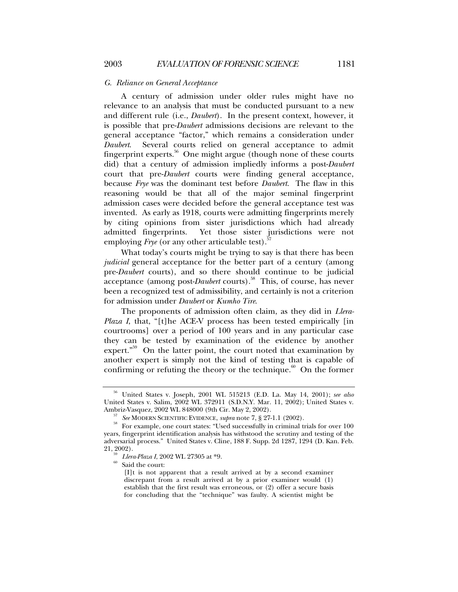#### *G. Reliance on General Acceptance*

A century of admission under older rules might have no relevance to an analysis that must be conducted pursuant to a new and different rule (i.e., *Daubert*). In the present context, however, it is possible that pre-*Daubert* admissions decisions are relevant to the general acceptance "factor," which remains a consideration under *Daubert*. Several courts relied on general acceptance to admit fingerprint experts.56 One might argue (though none of these courts did) that a century of admission impliedly informs a post-*Daubert* court that pre-*Daubert* courts were finding general acceptance, because *Frye* was the dominant test before *Daubert*. The flaw in this reasoning would be that all of the major seminal fingerprint admission cases were decided before the general acceptance test was invented. As early as 1918, courts were admitting fingerprints merely by citing opinions from sister jurisdictions which had already admitted fingerprints. Yet those sister jurisdictions were not employing *Frye* (or any other articulable test).

What today's courts might be trying to say is that there has been *judicial* general acceptance for the better part of a century (among pre-*Daubert* courts), and so there should continue to be judicial acceptance (among post-*Daubert* courts).<sup>58</sup> This, of course, has never been a recognized test of admissibility, and certainly is not a criterion for admission under *Daubert* or *Kumho Tire*.

The proponents of admission often claim, as they did in *Llera-Plaza I*, that, "[t]he ACE-V process has been tested empirically [in courtrooms] over a period of 100 years and in any particular case they can be tested by examination of the evidence by another expert. $\mathbf{v}^{59}$  On the latter point, the court noted that examination by another expert is simply not the kind of testing that is capable of confirming or refuting the theory or the technique. $60$  On the former

<sup>56</sup> United States v. Joseph, 2001 WL 515213 (E.D. La. May 14, 2001); *see also* United States v. Salim, 2002 WL 372911 (S.D.N.Y. Mar. 11, 2002); United States v.

Ambriz-Vasquez, 2002 WL 848000 (9th Cir. May 2, 2002).<br><sup>57</sup> *See* MODERN SCIENTIFIC EVIDENCE, *supra* note 7, § 27-1.1 (2002).<br><sup>58</sup> For example, one court states: "Used successfully in criminal trials for over 100 years, fingerprint identification analysis has withstood the scrutiny and testing of the adversarial process." United States v. Cline, 188 F. Supp. 2d 1287, 1294 (D. Kan. Feb.

<sup>&</sup>lt;sup>59</sup> *Llera-Plaza I*, 2002 WL 27305 at \*9.<br><sup>60</sup> Said the court:

<sup>[</sup>I]t is not apparent that a result arrived at by a second examiner discrepant from a result arrived at by a prior examiner would (1) establish that the first result was erroneous, or (2) offer a secure basis for concluding that the "technique" was faulty. A scientist might be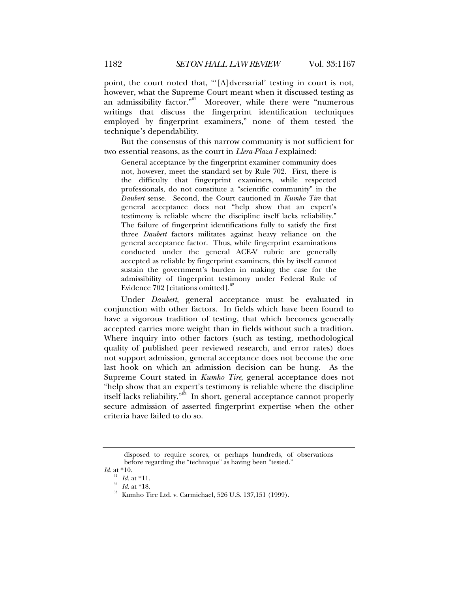point, the court noted that, "'[A]dversarial' testing in court is not, however, what the Supreme Court meant when it discussed testing as an admissibility factor."<sup>61</sup> Moreover, while there were "numerous writings that discuss the fingerprint identification techniques employed by fingerprint examiners," none of them tested the technique's dependability.

But the consensus of this narrow community is not sufficient for two essential reasons, as the court in *Llera-Plaza I* explained:

General acceptance by the fingerprint examiner community does not, however, meet the standard set by Rule 702. First, there is the difficulty that fingerprint examiners, while respected professionals, do not constitute a "scientific community" in the *Daubert* sense. Second, the Court cautioned in *Kumho Tire* that general acceptance does not "help show that an expert's testimony is reliable where the discipline itself lacks reliability." The failure of fingerprint identifications fully to satisfy the first three *Daubert* factors militates against heavy reliance on the general acceptance factor. Thus, while fingerprint examinations conducted under the general ACE-V rubric are generally accepted as reliable by fingerprint examiners, this by itself cannot sustain the government's burden in making the case for the admissibility of fingerprint testimony under Federal Rule of Evidence  $702$  [citations omitted].<sup>6</sup>

Under *Daubert*, general acceptance must be evaluated in conjunction with other factors. In fields which have been found to have a vigorous tradition of testing, that which becomes generally accepted carries more weight than in fields without such a tradition. Where inquiry into other factors (such as testing, methodological quality of published peer reviewed research, and error rates) does not support admission, general acceptance does not become the one last hook on which an admission decision can be hung. As the Supreme Court stated in *Kumho Tire*, general acceptance does not "help show that an expert's testimony is reliable where the discipline itself lacks reliability.<sup>"63</sup> In short, general acceptance cannot properly secure admission of asserted fingerprint expertise when the other criteria have failed to do so.

disposed to require scores, or perhaps hundreds, of observations before regarding the "technique" as having been "tested."

*Id.* at \*10.<br> $\frac{61}{62}$  *Id.* at \*11.<br> $\frac{62}{62}$  *Id.* at \*18.

<sup>&</sup>lt;sup>63</sup> **Kumho Tire Ltd. v. Carmichael, 526 U.S. 137,151 (1999).**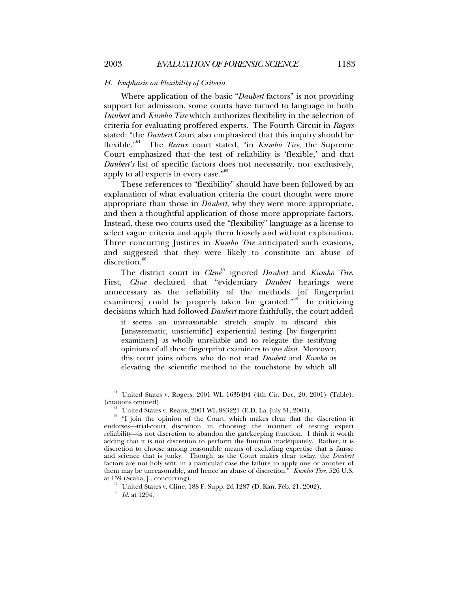#### *H. Emphasis on Flexibility of Criteria*

Where application of the basic "*Daubert* factors" is not providing support for admission, some courts have turned to language in both *Daubert* and *Kumho Tire* which authorizes flexibility in the selection of criteria for evaluating proffered experts. The Fourth Circuit in *Rogers* stated: "the *Daubert* Court also emphasized that this inquiry should be flexible."64 The *Reaux* court stated, "in *Kumho Tire*, the Supreme Court emphasized that the test of reliability is 'flexible,' and that *Daubert's* list of specific factors does not necessarily, nor exclusively, apply to all experts in every case."<sup>65</sup>

These references to "flexibility" should have been followed by an explanation of what evaluation criteria the court thought were more appropriate than those in *Daubert*, why they were more appropriate, and then a thoughtful application of those more appropriate factors. Instead, these two courts used the "flexibility" language as a license to select vague criteria and apply them loosely and without explanation. Three concurring Justices in *Kumho Tire* anticipated such evasions, and suggested that they were likely to constitute an abuse of discretion.<sup>66</sup>

The district court in *Cline*<sup>67</sup> ignored *Daubert* and *Kumho Tire*. First, *Cline* declared that "evidentiary *Daubert* hearings were unnecessary as the reliability of the methods [of fingerprint examiners] could be properly taken for granted."<sup>68</sup> In criticizing decisions which had followed *Daubert* more faithfully, the court added

it seems an unreasonable stretch simply to discard this [unsystematic, unscientific] experiential testing [by fingerprint examiners] as wholly unreliable and to relegate the testifying opinions of all these fingerprint examiners to *ipse dixit*. Moreover, this court joins others who do not read *Daubert* and *Kumho* as elevating the scientific method to the touchstone by which all

 $^{64}$  United States v. Rogers, 2001 WL 1635494 (4th Cir. Dec. 20, 2001) (Table). (citations omitted).

<sup>&</sup>lt;sup>65</sup> United States v. Reaux, 2001 WL 883221 (E.D. La. July 31, 2001). <sup>66</sup> "I join the opinion of the Court, which makes clear that the discretion it endorses—trial-court discretion in choosing the manner of testing expert reliability—is not discretion to abandon the gatekeeping function. I think it worth adding that it is not discretion to perform the function inadequately. Rather, it is discretion to choose among reasonable means of excluding expertise that is fausse and science that is junky. Though, as the Court makes clear today, the *Daubert* factors are not holy writ, in a particular case the failure to apply one or another of them may be unreasonable, and hence an abuse of discretion." *Kumho Tire*, 526 U.S. at 159 (Scalia, J., concurring). 67 United States v. Cline, 188 F. Supp. 2d 1287 (D. Kan. Feb. 21, 2002). 68 *Id.* at 1294.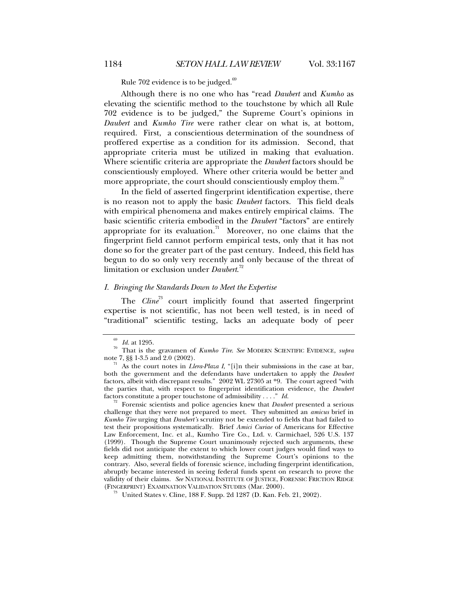Rule 702 evidence is to be judged.<sup>69</sup>

Although there is no one who has "read *Daubert* and *Kumho* as elevating the scientific method to the touchstone by which all Rule 702 evidence is to be judged," the Supreme Court's opinions in *Daubert* and *Kumho Tire* were rather clear on what is, at bottom, required. First, a conscientious determination of the soundness of proffered expertise as a condition for its admission. Second, that appropriate criteria must be utilized in making that evaluation. Where scientific criteria are appropriate the *Daubert* factors should be conscientiously employed. Where other criteria would be better and more appropriate, the court should conscientiously employ them.<sup>70</sup>

In the field of asserted fingerprint identification expertise, there is no reason not to apply the basic *Daubert* factors. This field deals with empirical phenomena and makes entirely empirical claims. The basic scientific criteria embodied in the *Daubert* "factors" are entirely appropriate for its evaluation.<sup>71</sup> Moreover, no one claims that the fingerprint field cannot perform empirical tests, only that it has not done so for the greater part of the past century. Indeed, this field has begun to do so only very recently and only because of the threat of limitation or exclusion under *Daubert*. 72

### *I. Bringing the Standards Down to Meet the Expertise*

The *Cline*<sup>73</sup> court implicitly found that asserted fingerprint expertise is not scientific, has not been well tested, is in need of "traditional" scientific testing, lacks an adequate body of peer

challenge that they were not prepared to meet. They submitted an *amicus* brief in *Kumho Tire* urging that *Daubert's* scrutiny not be extended to fields that had failed to test their propositions systematically. Brief *Amici Curiae* of Americans for Effective Law Enforcement, Inc. et al., Kumho Tire Co., Ltd. v. Carmichael, 526 U.S. 137 (1999). Though the Supreme Court unanimously rejected such arguments, these fields did not anticipate the extent to which lower court judges would find ways to keep admitting them, notwithstanding the Supreme Court's opinions to the contrary. Also, several fields of forensic science, including fingerprint identification, abruptly became interested in seeing federal funds spent on research to prove the validity of their claims. *See* NATIONAL INSTITUTE OF JUSTICE, FORENSIC FRICTION RIDGE

<sup>&</sup>lt;sup>69</sup> *Id.* at 1295.<br><sup>70</sup> That is the gravamen of *Kumho Tire. See* MODERN SCIENTIFIC EVIDENCE, *supra* note 7, §§ 1-3.5 and 2.0 (2002).

<sup>&</sup>lt;sup>71</sup> As the court notes in *Llera-Plaza I*, "[i]n their submissions in the case at bar, both the government and the defendants have undertaken to apply the *Daubert* factors, albeit with discrepant results." 2002 WL 27305 at \*9. The court agreed "with the parties that, with respect to fingerprint identification evidence, the *Daubert* factors constitute a proper touchstone of admissibility . . . ." *Id.* <sup>72</sup> Forensic scientists and police agencies knew that *Daubert* presented a serious

 $^{73}$  United States v. Cline, 188 F. Supp. 2d 1287 (D. Kan. Feb. 21, 2002).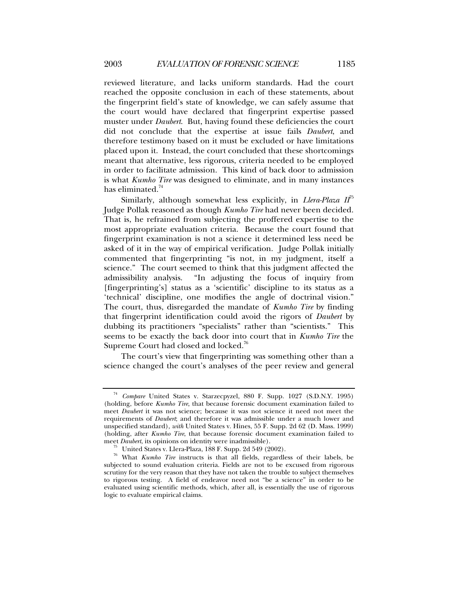reviewed literature, and lacks uniform standards. Had the court reached the opposite conclusion in each of these statements, about the fingerprint field's state of knowledge, we can safely assume that the court would have declared that fingerprint expertise passed muster under *Daubert*. But, having found these deficiencies the court did not conclude that the expertise at issue fails *Daubert*, and therefore testimony based on it must be excluded or have limitations placed upon it. Instead, the court concluded that these shortcomings meant that alternative, less rigorous, criteria needed to be employed in order to facilitate admission. This kind of back door to admission is what *Kumho Tire* was designed to eliminate, and in many instances has eliminated. $^7$ 

Similarly, although somewhat less explicitly, in *Llera-Plaza*  $II^{\frac{1}{2}}$ Judge Pollak reasoned as though *Kumho Tire* had never been decided. That is, he refrained from subjecting the proffered expertise to the most appropriate evaluation criteria. Because the court found that fingerprint examination is not a science it determined less need be asked of it in the way of empirical verification. Judge Pollak initially commented that fingerprinting "is not, in my judgment, itself a science." The court seemed to think that this judgment affected the admissibility analysis. "In adjusting the focus of inquiry from [fingerprinting's] status as a 'scientific' discipline to its status as a 'technical' discipline, one modifies the angle of doctrinal vision." The court, thus, disregarded the mandate of *Kumho Tire* by finding that fingerprint identification could avoid the rigors of *Daubert* by dubbing its practitioners "specialists" rather than "scientists." This seems to be exactly the back door into court that in *Kumho Tire* the Supreme Court had closed and locked.<sup>76</sup>

The court's view that fingerprinting was something other than a science changed the court's analyses of the peer review and general

<sup>74</sup> *Compare* United States v. Starzecpyzel, 880 F. Supp. 1027 (S.D.N.Y. 1995) (holding, before *Kumho Tire*, that because forensic document examination failed to meet *Daubert* it was not science; because it was not science it need not meet the requirements of *Daubert*; and therefore it was admissible under a much lower and unspecified standard), *with* United States v. Hines, 55 F. Supp. 2d 62 (D. Mass. 1999) (holding, after *Kumho Tire*, that because forensic document examination failed to

meet *Daubert*, its opinions on identity were inadmissible).<br><sup>75</sup> United States v. Llera-Plaza, 188 F. Supp. 2d 549 (2002).<br><sup>76</sup> What *Kumho Tire* instructs is that all fields, regardless of their labels, be subjected to sound evaluation criteria. Fields are not to be excused from rigorous scrutiny for the very reason that they have not taken the trouble to subject themselves to rigorous testing. A field of endeavor need not "be a science" in order to be evaluated using scientific methods, which, after all, is essentially the use of rigorous logic to evaluate empirical claims.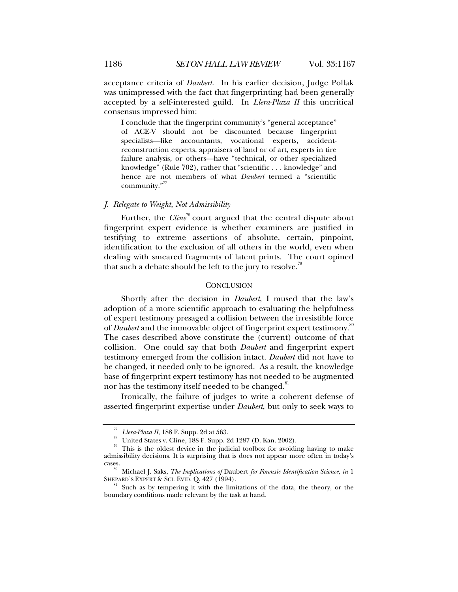acceptance criteria of *Daubert*. In his earlier decision, Judge Pollak was unimpressed with the fact that fingerprinting had been generally accepted by a self-interested guild. In *Llera-Plaza II* this uncritical consensus impressed him:

I conclude that the fingerprint community's "general acceptance" of ACE-V should not be discounted because fingerprint specialists—like accountants, vocational experts, accidentreconstruction experts, appraisers of land or of art, experts in tire failure analysis, or others—have "technical, or other specialized knowledge" (Rule 702), rather that "scientific . . . knowledge" and hence are not members of what *Daubert* termed a "scientific community."<sup>77</sup>

## *J. Relegate to Weight, Not Admissibility*

Further, the *Cline*<sup>78</sup> court argued that the central dispute about fingerprint expert evidence is whether examiners are justified in testifying to extreme assertions of absolute, certain, pinpoint, identification to the exclusion of all others in the world, even when dealing with smeared fragments of latent prints. The court opined that such a debate should be left to the jury to resolve.<sup>79</sup>

#### **CONCLUSION**

Shortly after the decision in *Daubert*, I mused that the law's adoption of a more scientific approach to evaluating the helpfulness of expert testimony presaged a collision between the irresistible force of *Daubert* and the immovable object of fingerprint expert testimony.<sup>80</sup> The cases described above constitute the (current) outcome of that collision. One could say that both *Daubert* and fingerprint expert testimony emerged from the collision intact. *Daubert* did not have to be changed, it needed only to be ignored. As a result, the knowledge base of fingerprint expert testimony has not needed to be augmented nor has the testimony itself needed to be changed.<sup>81</sup>

Ironically, the failure of judges to write a coherent defense of asserted fingerprint expertise under *Daubert*, but only to seek ways to

 $\frac{77}{78}$  *Llera-Plaza II*, 188 F. Supp. 2d at 563.<br><sup>78</sup> United States v. Cline, 188 F. Supp. 2d 1287 (D. Kan. 2002).

<sup>&</sup>lt;sup>79</sup> This is the oldest device in the judicial toolbox for avoiding having to make admissibility decisions. It is surprising that is does not appear more often in today's

cases. 80 Michael J. Saks, *The Implications of* Daubert *for Forensic Identification Science*, *in*<sup>1</sup>

 $81$  Such as by tempering it with the limitations of the data, the theory, or the boundary conditions made relevant by the task at hand.